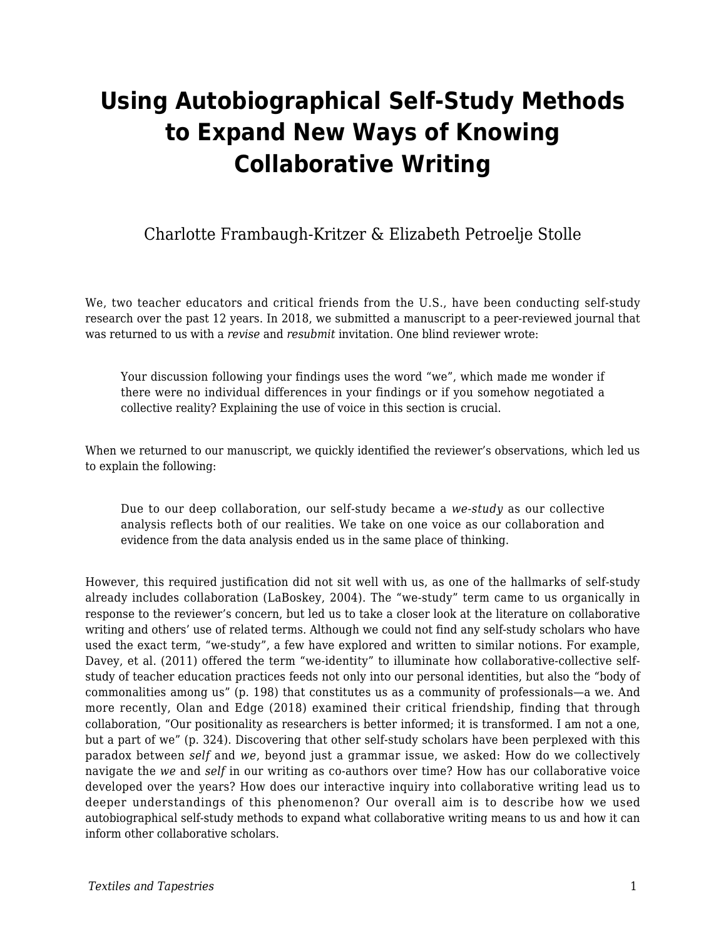# **Using Autobiographical Self-Study Methods to Expand New Ways of Knowing Collaborative Writing**

### Charlotte Frambaugh-Kritzer & Elizabeth Petroelje Stolle

We, two teacher educators and critical friends from the U.S., have been conducting self-study research over the past 12 years. In 2018, we submitted a manuscript to a peer-reviewed journal that was returned to us with a *revise* and *resubmit* invitation. One blind reviewer wrote:

Your discussion following your findings uses the word "we", which made me wonder if there were no individual differences in your findings or if you somehow negotiated a collective reality? Explaining the use of voice in this section is crucial.

When we returned to our manuscript, we quickly identified the reviewer's observations, which led us to explain the following:

Due to our deep collaboration, our self-study became a *we-study* as our collective analysis reflects both of our realities. We take on one voice as our collaboration and evidence from the data analysis ended us in the same place of thinking.

However, this required justification did not sit well with us, as one of the hallmarks of self-study already includes collaboration (LaBoskey, 2004). The "we-study" term came to us organically in response to the reviewer's concern, but led us to take a closer look at the literature on collaborative writing and others' use of related terms. Although we could not find any self-study scholars who have used the exact term, "we-study", a few have explored and written to similar notions. For example, Davey, et al. (2011) offered the term "we-identity" to illuminate how collaborative-collective selfstudy of teacher education practices feeds not only into our personal identities, but also the "body of commonalities among us" (p. 198) that constitutes us as a community of professionals—a we. And more recently, Olan and Edge (2018) examined their critical friendship, finding that through collaboration, "Our positionality as researchers is better informed; it is transformed. I am not a one, but a part of we" (p. 324). Discovering that other self-study scholars have been perplexed with this paradox between *self* and *we*, beyond just a grammar issue, we asked: How do we collectively navigate the *we* and *self* in our writing as co-authors over time? How has our collaborative voice developed over the years? How does our interactive inquiry into collaborative writing lead us to deeper understandings of this phenomenon? Our overall aim is to describe how we used autobiographical self-study methods to expand what collaborative writing means to us and how it can inform other collaborative scholars.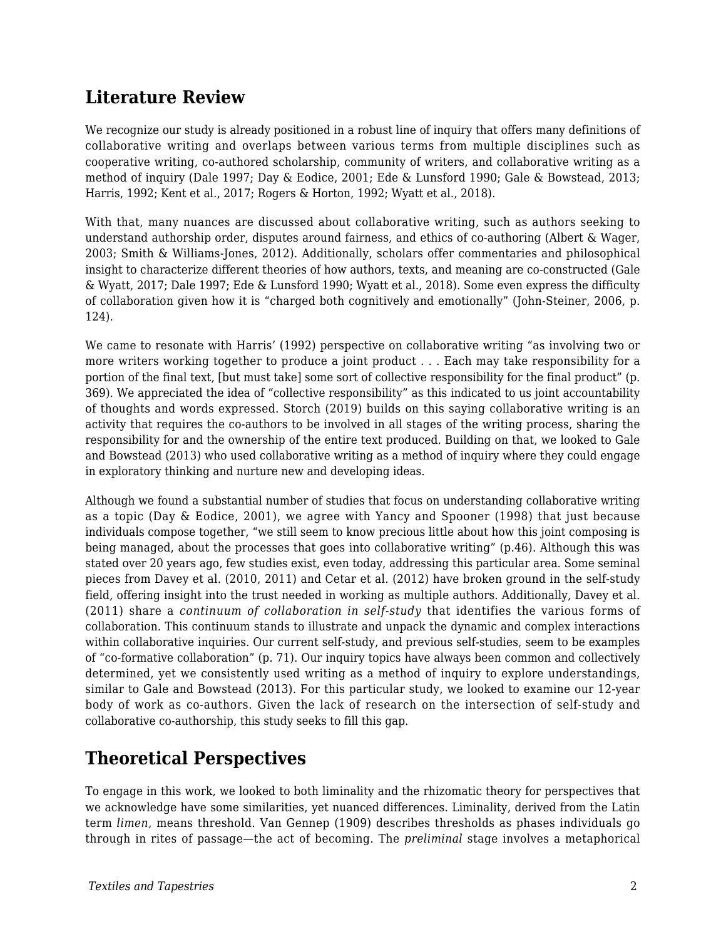### **Literature Review**

We recognize our study is already positioned in a robust line of inquiry that offers many definitions of collaborative writing and overlaps between various terms from multiple disciplines such as cooperative writing, co-authored scholarship, community of writers, and collaborative writing as a method of inquiry (Dale 1997; Day & Eodice, 2001; Ede & Lunsford 1990; Gale & Bowstead, 2013; Harris, 1992; Kent et al., 2017; Rogers & Horton, 1992; Wyatt et al., 2018).

With that, many nuances are discussed about collaborative writing, such as authors seeking to understand authorship order, disputes around fairness, and ethics of co-authoring (Albert & Wager, 2003; Smith & Williams-Jones, 2012). Additionally, scholars offer commentaries and philosophical insight to characterize different theories of how authors, texts, and meaning are co-constructed (Gale & Wyatt, 2017; Dale 1997; Ede & Lunsford 1990; Wyatt et al., 2018). Some even express the difficulty of collaboration given how it is "charged both cognitively and emotionally" (John-Steiner, 2006, p. 124).

We came to resonate with Harris' (1992) perspective on collaborative writing "as involving two or more writers working together to produce a joint product . . . Each may take responsibility for a portion of the final text, [but must take] some sort of collective responsibility for the final product" (p. 369). We appreciated the idea of "collective responsibility" as this indicated to us joint accountability of thoughts and words expressed. Storch (2019) builds on this saying collaborative writing is an activity that requires the co-authors to be involved in all stages of the writing process, sharing the responsibility for and the ownership of the entire text produced. Building on that, we looked to Gale and Bowstead (2013) who used collaborative writing as a method of inquiry where they could engage in exploratory thinking and nurture new and developing ideas.

Although we found a substantial number of studies that focus on understanding collaborative writing as a topic (Day & Eodice, 2001), we agree with Yancy and Spooner (1998) that just because individuals compose together, "we still seem to know precious little about how this joint composing is being managed, about the processes that goes into collaborative writing" (p.46). Although this was stated over 20 years ago, few studies exist, even today, addressing this particular area. Some seminal pieces from Davey et al. (2010, 2011) and Cetar et al. (2012) have broken ground in the self-study field, offering insight into the trust needed in working as multiple authors. Additionally, Davey et al. (2011) share a *continuum of collaboration in self-study* that identifies the various forms of collaboration. This continuum stands to illustrate and unpack the dynamic and complex interactions within collaborative inquiries. Our current self-study, and previous self-studies, seem to be examples of "co-formative collaboration" (p. 71). Our inquiry topics have always been common and collectively determined, yet we consistently used writing as a method of inquiry to explore understandings, similar to Gale and Bowstead (2013). For this particular study, we looked to examine our 12-year body of work as co-authors. Given the lack of research on the intersection of self-study and collaborative co-authorship, this study seeks to fill this gap.

### **Theoretical Perspectives**

To engage in this work, we looked to both liminality and the rhizomatic theory for perspectives that we acknowledge have some similarities, yet nuanced differences. Liminality, derived from the Latin term *limen*, means threshold. Van Gennep (1909) describes thresholds as phases individuals go through in rites of passage—the act of becoming. The *preliminal* stage involves a metaphorical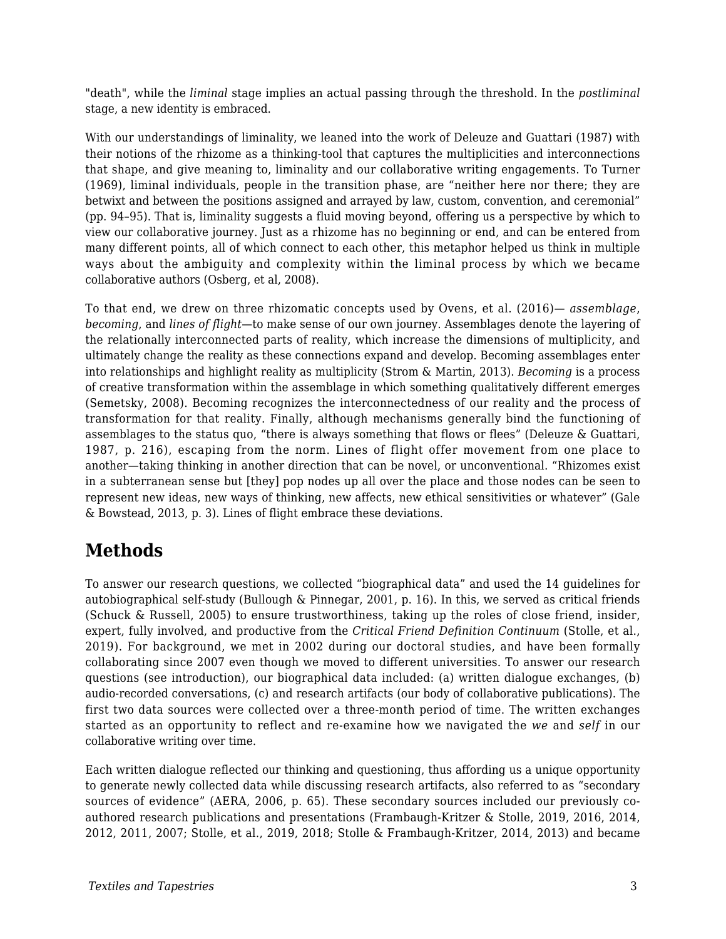"death", while the *liminal* stage implies an actual passing through the threshold. In the *postliminal* stage, a new identity is embraced.

With our understandings of liminality, we leaned into the work of Deleuze and Guattari (1987) with their notions of the rhizome as a thinking-tool that captures the multiplicities and interconnections that shape, and give meaning to, liminality and our collaborative writing engagements. To Turner (1969), liminal individuals, people in the transition phase, are "neither here nor there; they are betwixt and between the positions assigned and arrayed by law, custom, convention, and ceremonial" (pp. 94–95). That is, liminality suggests a fluid moving beyond, offering us a perspective by which to view our collaborative journey. Just as a rhizome has no beginning or end, and can be entered from many different points, all of which connect to each other, this metaphor helped us think in multiple ways about the ambiguity and complexity within the liminal process by which we became collaborative authors (Osberg, et al, 2008).

To that end, we drew on three rhizomatic concepts used by Ovens, et al. (2016)— *assemblage*, *becoming*, and *lines of flight*—to make sense of our own journey. Assemblages denote the layering of the relationally interconnected parts of reality, which increase the dimensions of multiplicity, and ultimately change the reality as these connections expand and develop. Becoming assemblages enter into relationships and highlight reality as multiplicity (Strom & Martin, 2013). *Becoming* is a process of creative transformation within the assemblage in which something qualitatively different emerges (Semetsky, 2008). Becoming recognizes the interconnectedness of our reality and the process of transformation for that reality. Finally, although mechanisms generally bind the functioning of assemblages to the status quo, "there is always something that flows or flees" (Deleuze & Guattari, 1987, p. 216), escaping from the norm. Lines of flight offer movement from one place to another—taking thinking in another direction that can be novel, or unconventional. "Rhizomes exist in a subterranean sense but [they] pop nodes up all over the place and those nodes can be seen to represent new ideas, new ways of thinking, new affects, new ethical sensitivities or whatever" (Gale & Bowstead, 2013, p. 3). Lines of flight embrace these deviations.

### **Methods**

To answer our research questions, we collected "biographical data" and used the 14 guidelines for autobiographical self-study (Bullough & Pinnegar, 2001, p. 16). In this, we served as critical friends (Schuck & Russell, 2005) to ensure trustworthiness, taking up the roles of close friend, insider, expert, fully involved, and productive from the *Critical Friend Definition Continuum* (Stolle, et al., 2019). For background, we met in 2002 during our doctoral studies, and have been formally collaborating since 2007 even though we moved to different universities. To answer our research questions (see introduction), our biographical data included: (a) written dialogue exchanges, (b) audio-recorded conversations, (c) and research artifacts (our body of collaborative publications). The first two data sources were collected over a three-month period of time. The written exchanges started as an opportunity to reflect and re-examine how we navigated the *we* and *self* in our collaborative writing over time.

Each written dialogue reflected our thinking and questioning, thus affording us a unique opportunity to generate newly collected data while discussing research artifacts, also referred to as "secondary sources of evidence" (AERA, 2006, p. 65). These secondary sources included our previously coauthored research publications and presentations (Frambaugh-Kritzer & Stolle, 2019, 2016, 2014, 2012, 2011, 2007; Stolle, et al., 2019, 2018; Stolle & Frambaugh-Kritzer, 2014, 2013) and became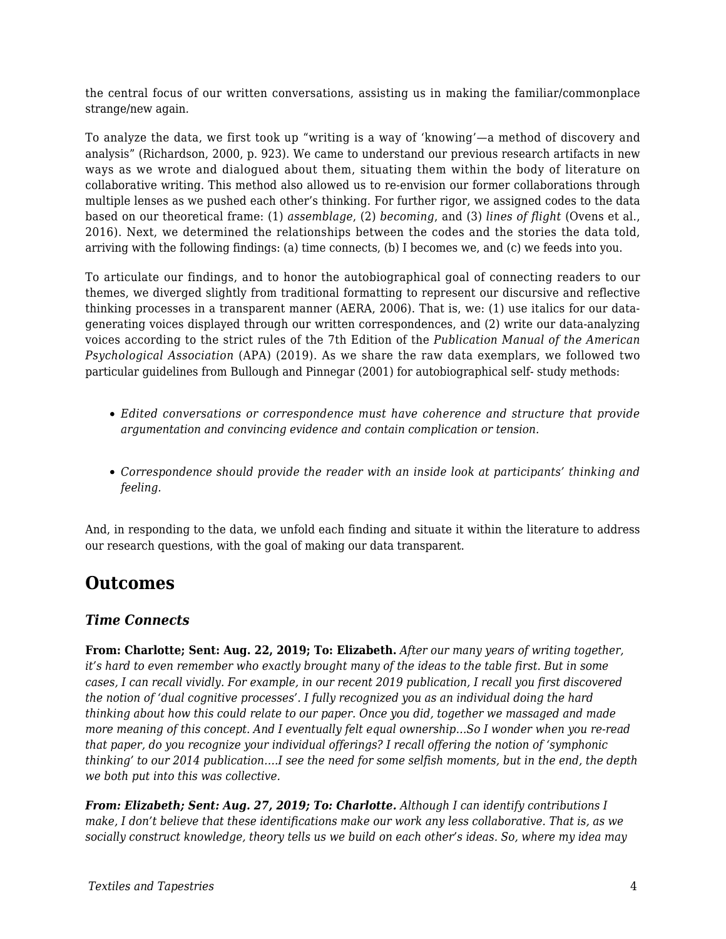the central focus of our written conversations, assisting us in making the familiar/commonplace strange/new again*.*

To analyze the data, we first took up "writing is a way of 'knowing'—a method of discovery and analysis" (Richardson, 2000, p. 923). We came to understand our previous research artifacts in new ways as we wrote and dialogued about them, situating them within the body of literature on collaborative writing. This method also allowed us to re-envision our former collaborations through multiple lenses as we pushed each other's thinking. For further rigor, we assigned codes to the data based on our theoretical frame: (1) *assemblage*, (2) *becoming*, and (3) *lines of flight* (Ovens et al., 2016). Next, we determined the relationships between the codes and the stories the data told, arriving with the following findings: (a) time connects, (b) I becomes we, and (c) we feeds into you.

To articulate our findings, and to honor the autobiographical goal of connecting readers to our themes, we diverged slightly from traditional formatting to represent our discursive and reflective thinking processes in a transparent manner (AERA, 2006). That is, we: (1) use italics for our datagenerating voices displayed through our written correspondences, and (2) write our data-analyzing voices according to the strict rules of the 7th Edition of the *Publication Manual of the American Psychological Association* (APA) (2019). As we share the raw data exemplars, we followed two particular guidelines from Bullough and Pinnegar (2001) for autobiographical self- study methods:

- *Edited conversations or correspondence must have coherence and structure that provide argumentation and convincing evidence and contain complication or tension.*
- *Correspondence should provide the reader with an inside look at participants' thinking and feeling.*

And, in responding to the data, we unfold each finding and situate it within the literature to address our research questions, with the goal of making our data transparent.

### **Outcomes**

#### *Time Connects*

**From: Charlotte; Sent: Aug. 22, 2019; To: Elizabeth.** *After our many years of writing together, it's hard to even remember who exactly brought many of the ideas to the table first. But in some cases, I can recall vividly. For example, in our recent 2019 publication, I recall you first discovered the notion of 'dual cognitive processes'. I fully recognized you as an individual doing the hard thinking about how this could relate to our paper. Once you did, together we massaged and made more meaning of this concept. And I eventually felt equal ownership…So I wonder when you re-read that paper, do you recognize your individual offerings? I recall offering the notion of 'symphonic thinking' to our 2014 publication….I see the need for some selfish moments, but in the end, the depth we both put into this was collective.*

*From: Elizabeth; Sent: Aug. 27, 2019; To: Charlotte. Although I can identify contributions I make, I don't believe that these identifications make our work any less collaborative. That is, as we socially construct knowledge, theory tells us we build on each other's ideas. So, where my idea may*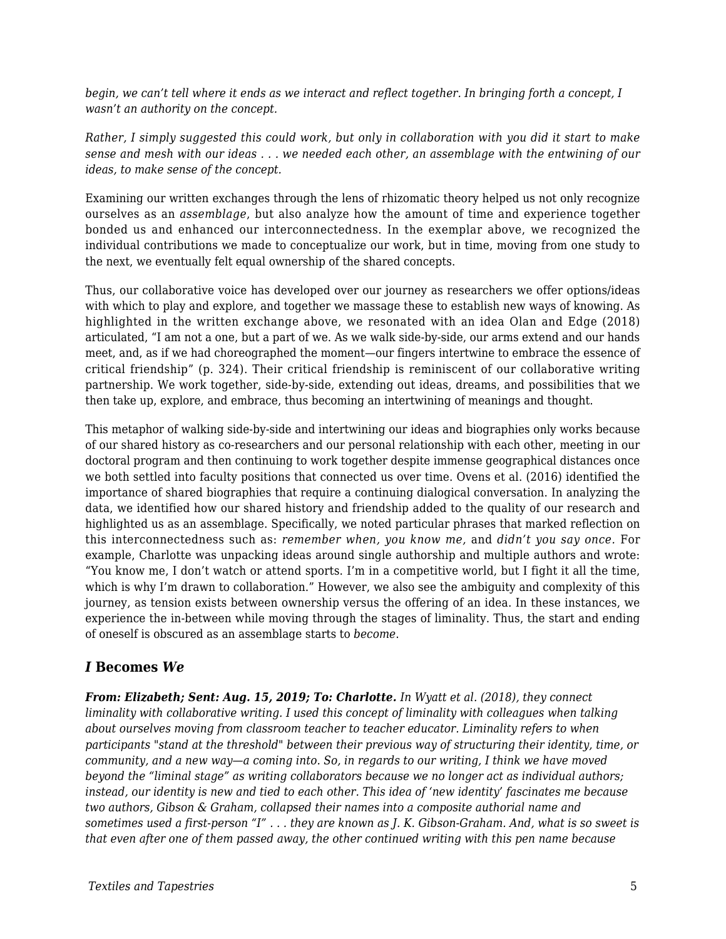*begin, we can't tell where it ends as we interact and reflect together. In bringing forth a concept, I wasn't an authority on the concept.*

*Rather, I simply suggested this could work, but only in collaboration with you did it start to make sense and mesh with our ideas . . . we needed each other, an assemblage with the entwining of our ideas, to make sense of the concept.*

Examining our written exchanges through the lens of rhizomatic theory helped us not only recognize ourselves as an *assemblage*, but also analyze how the amount of time and experience together bonded us and enhanced our interconnectedness. In the exemplar above, we recognized the individual contributions we made to conceptualize our work, but in time, moving from one study to the next, we eventually felt equal ownership of the shared concepts.

Thus, our collaborative voice has developed over our journey as researchers we offer options/ideas with which to play and explore, and together we massage these to establish new ways of knowing. As highlighted in the written exchange above, we resonated with an idea Olan and Edge (2018) articulated, "I am not a one, but a part of we. As we walk side-by-side, our arms extend and our hands meet, and, as if we had choreographed the moment—our fingers intertwine to embrace the essence of critical friendship" (p. 324). Their critical friendship is reminiscent of our collaborative writing partnership. We work together, side-by-side, extending out ideas, dreams, and possibilities that we then take up, explore, and embrace, thus becoming an intertwining of meanings and thought.

This metaphor of walking side-by-side and intertwining our ideas and biographies only works because of our shared history as co-researchers and our personal relationship with each other, meeting in our doctoral program and then continuing to work together despite immense geographical distances once we both settled into faculty positions that connected us over time. Ovens et al. (2016) identified the importance of shared biographies that require a continuing dialogical conversation. In analyzing the data, we identified how our shared history and friendship added to the quality of our research and highlighted us as an assemblage. Specifically, we noted particular phrases that marked reflection on this interconnectedness such as: *remember when, you know me,* and *didn't you say once.* For example, Charlotte was unpacking ideas around single authorship and multiple authors and wrote: "You know me, I don't watch or attend sports. I'm in a competitive world, but I fight it all the time, which is why I'm drawn to collaboration." However, we also see the ambiguity and complexity of this journey, as tension exists between ownership versus the offering of an idea. In these instances, we experience the in-between while moving through the stages of liminality. Thus, the start and ending of oneself is obscured as an assemblage starts to *become*.

#### *I* **Becomes** *We*

*From: Elizabeth; Sent: Aug. 15, 2019; To: Charlotte. In Wyatt et al. (2018), they connect liminality with collaborative writing. I used this concept of liminality with colleagues when talking about ourselves moving from classroom teacher to teacher educator. Liminality refers to when participants "stand at the threshold" between their previous way of structuring their identity, time, or community, and a new way—a coming into. So, in regards to our writing, I think we have moved beyond the "liminal stage" as writing collaborators because we no longer act as individual authors; instead, our identity is new and tied to each other. This idea of 'new identity' fascinates me because two authors, Gibson & Graham, collapsed their names into a composite authorial name and sometimes used a first-person "I" . . . they are known as J. K. Gibson-Graham. And, what is so sweet is that even after one of them passed away, the other continued writing with this pen name because*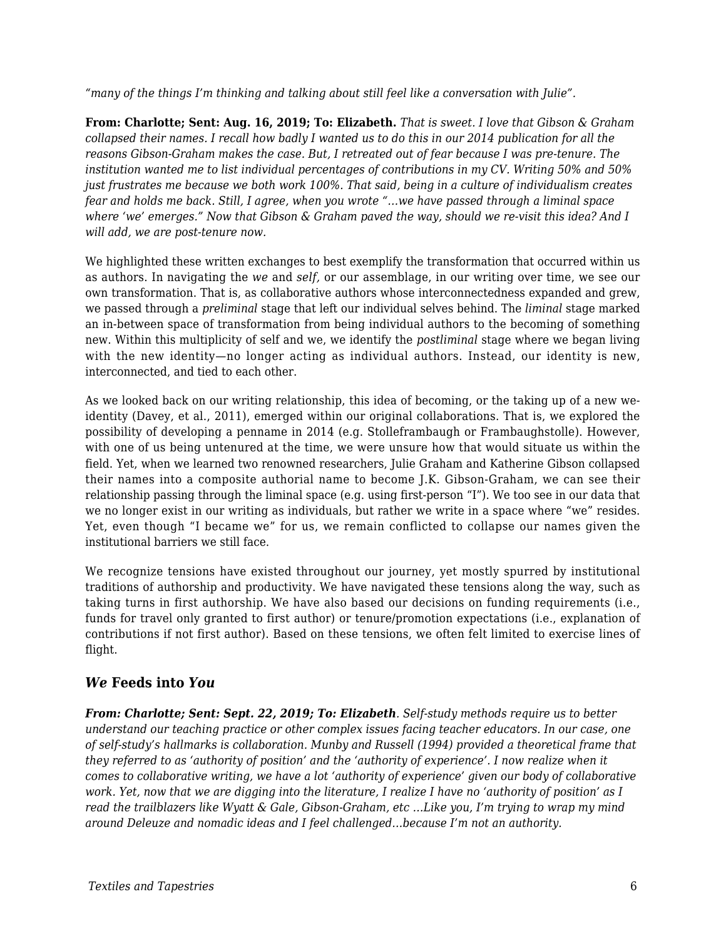*"many of the things I'm thinking and talking about still feel like a conversation with Julie".*

**From: Charlotte; Sent: Aug. 16, 2019; To: Elizabeth.** *That is sweet. I love that Gibson & Graham collapsed their names. I recall how badly I wanted us to do this in our 2014 publication for all the reasons Gibson-Graham makes the case. But, I retreated out of fear because I was pre-tenure. The institution wanted me to list individual percentages of contributions in my CV. Writing 50% and 50% just frustrates me because we both work 100%. That said, being in a culture of individualism creates fear and holds me back. Still, I agree, when you wrote "…we have passed through a liminal space where 'we' emerges." Now that Gibson & Graham paved the way, should we re-visit this idea? And I will add, we are post-tenure now.*

We highlighted these written exchanges to best exemplify the transformation that occurred within us as authors. In navigating the *we* and *self,* or our assemblage, in our writing over time, we see our own transformation. That is, as collaborative authors whose interconnectedness expanded and grew, we passed through a *preliminal* stage that left our individual selves behind. The *liminal* stage marked an in-between space of transformation from being individual authors to the becoming of something new. Within this multiplicity of self and we, we identify the *postliminal* stage where we began living with the new identity—no longer acting as individual authors. Instead, our identity is new, interconnected, and tied to each other.

As we looked back on our writing relationship, this idea of becoming, or the taking up of a new weidentity (Davey, et al., 2011), emerged within our original collaborations. That is, we explored the possibility of developing a penname in 2014 (e.g. Stolleframbaugh or Frambaughstolle). However, with one of us being untenured at the time, we were unsure how that would situate us within the field. Yet, when we learned two renowned researchers, Julie Graham and Katherine Gibson collapsed their names into a composite authorial name to become J.K. Gibson-Graham, we can see their relationship passing through the liminal space (e.g. using first-person "I"). We too see in our data that we no longer exist in our writing as individuals, but rather we write in a space where "we" resides. Yet, even though "I became we" for us, we remain conflicted to collapse our names given the institutional barriers we still face.

We recognize tensions have existed throughout our journey, yet mostly spurred by institutional traditions of authorship and productivity. We have navigated these tensions along the way, such as taking turns in first authorship. We have also based our decisions on funding requirements (i.e., funds for travel only granted to first author) or tenure/promotion expectations (i.e., explanation of contributions if not first author). Based on these tensions, we often felt limited to exercise lines of flight.

#### *We* **Feeds into** *You*

*From: Charlotte; Sent: Sept. 22, 2019; To: Elizabeth. Self-study methods require us to better understand our teaching practice or other complex issues facing teacher educators. In our case, one of self-study's hallmarks is collaboration. Munby and Russell (1994) provided a theoretical frame that they referred to as 'authority of position' and the 'authority of experience'. I now realize when it comes to collaborative writing, we have a lot 'authority of experience' given our body of collaborative work. Yet, now that we are digging into the literature, I realize I have no 'authority of position' as I read the trailblazers like Wyatt & Gale, Gibson-Graham, etc …Like you, I'm trying to wrap my mind around Deleuze and nomadic ideas and I feel challenged…because I'm not an authority.*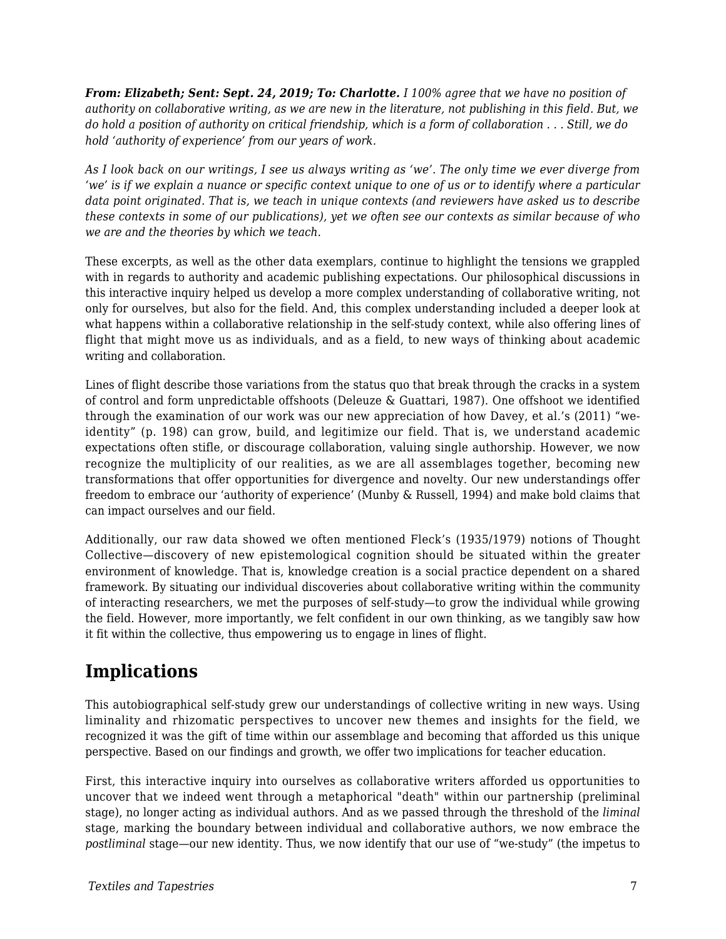*From: Elizabeth; Sent: Sept. 24, 2019; To: Charlotte. I 100% agree that we have no position of authority on collaborative writing, as we are new in the literature, not publishing in this field. But, we do hold a position of authority on critical friendship, which is a form of collaboration . . . Still, we do hold 'authority of experience' from our years of work.*

*As I look back on our writings, I see us always writing as 'we'. The only time we ever diverge from 'we' is if we explain a nuance or specific context unique to one of us or to identify where a particular data point originated. That is, we teach in unique contexts (and reviewers have asked us to describe these contexts in some of our publications), yet we often see our contexts as similar because of who we are and the theories by which we teach.*

These excerpts, as well as the other data exemplars, continue to highlight the tensions we grappled with in regards to authority and academic publishing expectations. Our philosophical discussions in this interactive inquiry helped us develop a more complex understanding of collaborative writing, not only for ourselves, but also for the field. And, this complex understanding included a deeper look at what happens within a collaborative relationship in the self-study context, while also offering lines of flight that might move us as individuals, and as a field, to new ways of thinking about academic writing and collaboration.

Lines of flight describe those variations from the status quo that break through the cracks in a system of control and form unpredictable offshoots (Deleuze & Guattari, 1987). One offshoot we identified through the examination of our work was our new appreciation of how Davey, et al.'s (2011) "weidentity" (p. 198) can grow, build, and legitimize our field. That is, we understand academic expectations often stifle, or discourage collaboration, valuing single authorship. However, we now recognize the multiplicity of our realities, as we are all assemblages together, becoming new transformations that offer opportunities for divergence and novelty. Our new understandings offer freedom to embrace our 'authority of experience' (Munby & Russell, 1994) and make bold claims that can impact ourselves and our field.

Additionally, our raw data showed we often mentioned Fleck's (1935/1979) notions of Thought Collective—discovery of new epistemological cognition should be situated within the greater environment of knowledge. That is, knowledge creation is a social practice dependent on a shared framework. By situating our individual discoveries about collaborative writing within the community of interacting researchers, we met the purposes of self-study—to grow the individual while growing the field. However, more importantly, we felt confident in our own thinking, as we tangibly saw how it fit within the collective, thus empowering us to engage in lines of flight.

## **Implications**

This autobiographical self-study grew our understandings of collective writing in new ways. Using liminality and rhizomatic perspectives to uncover new themes and insights for the field, we recognized it was the gift of time within our assemblage and becoming that afforded us this unique perspective. Based on our findings and growth, we offer two implications for teacher education.

First, this interactive inquiry into ourselves as collaborative writers afforded us opportunities to uncover that we indeed went through a metaphorical "death" within our partnership (preliminal stage), no longer acting as individual authors. And as we passed through the threshold of the *liminal* stage, marking the boundary between individual and collaborative authors, we now embrace the *postliminal* stage—our new identity. Thus, we now identify that our use of "we-study" (the impetus to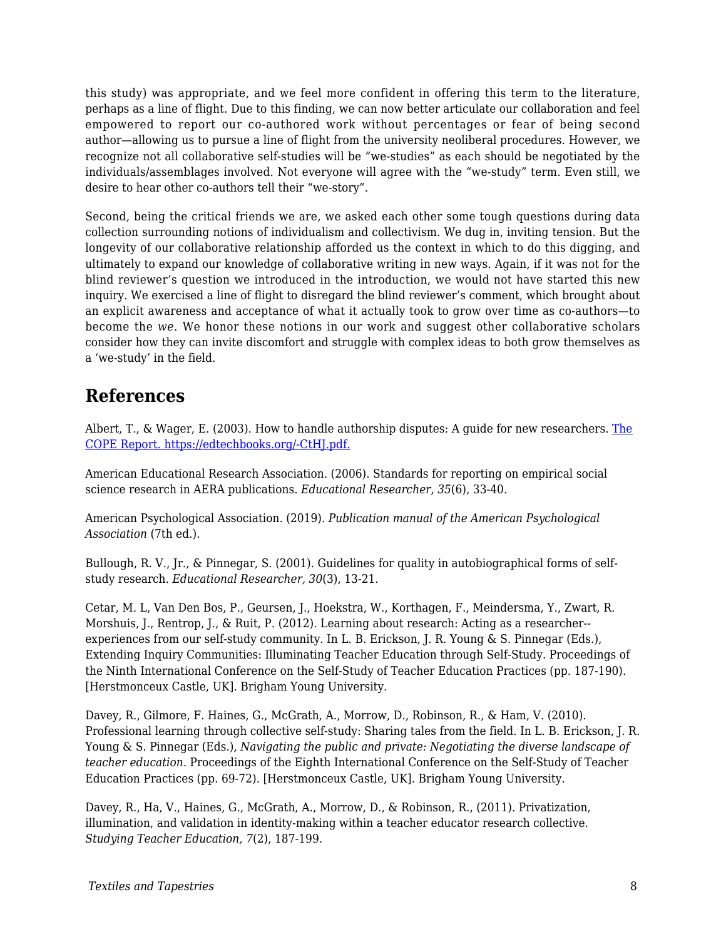this study) was appropriate, and we feel more confident in offering this term to the literature, perhaps as a line of flight. Due to this finding, we can now better articulate our collaboration and feel empowered to report our co-authored work without percentages or fear of being second author—allowing us to pursue a line of flight from the university neoliberal procedures. However, we recognize not all collaborative self-studies will be "we-studies" as each should be negotiated by the individuals/assemblages involved. Not everyone will agree with the "we-study" term. Even still, we desire to hear other co-authors tell their "we-story".

Second, being the critical friends we are, we asked each other some tough questions during data collection surrounding notions of individualism and collectivism. We dug in, inviting tension. But the longevity of our collaborative relationship afforded us the context in which to do this digging, and ultimately to expand our knowledge of collaborative writing in new ways. Again, if it was not for the blind reviewer's question we introduced in the introduction, we would not have started this new inquiry. We exercised a line of flight to disregard the blind reviewer's comment, which brought about an explicit awareness and acceptance of what it actually took to grow over time as co-authors—to become the *we*. We honor these notions in our work and suggest other collaborative scholars consider how they can invite discomfort and struggle with complex ideas to both grow themselves as a 'we-study' in the field.

### **References**

Albert, T., & Wager, E. (2003). How to handle authorship disputes: A quide for new researchers. [The](http://publicationethics.org/files/u2/2003pdf12.pdf) [COPE Report. https://edtechbooks.org/-CtHJ.pdf.](http://publicationethics.org/files/u2/2003pdf12.pdf)

American Educational Research Association. (2006). Standards for reporting on empirical social science research in AERA publications. *Educational Researcher*, *35*(6), 33-40.

American Psychological Association. (2019). *Publication manual of the American Psychological Association* (7th ed.).

Bullough, R. V., Jr., & Pinnegar, S. (2001). Guidelines for quality in autobiographical forms of selfstudy research. *Educational Researcher, 30*(3), 13-21.

Cetar, M. L, Van Den Bos, P., Geursen, J., Hoekstra, W., Korthagen, F., Meindersma, Y., Zwart, R. Morshuis, J., Rentrop, J., & Ruit, P. (2012). Learning about research: Acting as a researcher- experiences from our self-study community. In L. B. Erickson, J. R. Young & S. Pinnegar (Eds.), Extending Inquiry Communities: Illuminating Teacher Education through Self-Study. Proceedings of the Ninth International Conference on the Self-Study of Teacher Education Practices (pp. 187-190). [Herstmonceux Castle, UK]. Brigham Young University.

Davey, R., Gilmore, F. Haines, G., McGrath, A., Morrow, D., Robinson, R., & Ham, V. (2010). Professional learning through collective self-study: Sharing tales from the field. In L. B. Erickson, J. R. Young & S. Pinnegar (Eds.), *Navigating the public and private: Negotiating the diverse landscape of teacher education*. Proceedings of the Eighth International Conference on the Self-Study of Teacher Education Practices (pp. 69-72). [Herstmonceux Castle, UK]. Brigham Young University.

Davey, R., Ha, V., Haines, G., McGrath, A., Morrow, D., & Robinson, R., (2011). Privatization, illumination, and validation in identity-making within a teacher educator research collective. *Studying Teacher Education, 7*(2), 187-199.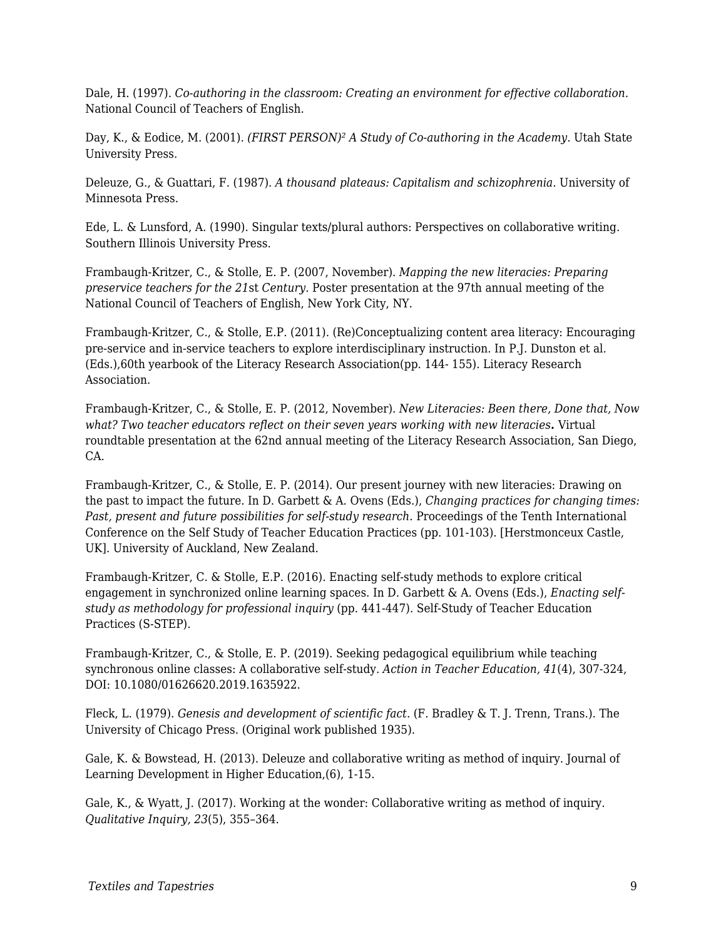Dale, H. (1997). *Co-authoring in the classroom: Creating an environment for effective collaboration.* National Council of Teachers of English.

Day, K., & Eodice, M. (2001). *(FIRST PERSON)² A Study of Co-authoring in the Academy.* Utah State University Press.

Deleuze, G., & Guattari, F. (1987). *A thousand plateaus: Capitalism and schizophrenia*. University of Minnesota Press.

Ede, L. & Lunsford, A. (1990). Singular texts/plural authors: Perspectives on collaborative writing. Southern Illinois University Press.

Frambaugh-Kritzer, C., & Stolle, E. P. (2007, November). *Mapping the new literacies: Preparing preservice teachers for the 21*st *Century.* Poster presentation at the 97th annual meeting of the National Council of Teachers of English, New York City, NY.

Frambaugh-Kritzer, C., & Stolle, E.P. (2011). (Re)Conceptualizing content area literacy: Encouraging pre-service and in-service teachers to explore interdisciplinary instruction. In P.J. Dunston et al. (Eds.),60th yearbook of the Literacy Research Association(pp. 144- 155). Literacy Research Association.

Frambaugh-Kritzer, C., & Stolle, E. P. (2012, November). *New Literacies: Been there, Done that, Now what? Two teacher educators reflect on their seven years working with new literacies.* Virtual roundtable presentation at the 62nd annual meeting of the Literacy Research Association, San Diego, CA.

Frambaugh-Kritzer, C., & Stolle, E. P. (2014). Our present journey with new literacies: Drawing on the past to impact the future*.* In D. Garbett & A. Ovens (Eds.), *Changing practices for changing times: Past, present and future possibilities for self-study research*. Proceedings of the Tenth International Conference on the Self Study of Teacher Education Practices (pp. 101-103). [Herstmonceux Castle, UK]. University of Auckland, New Zealand.

Frambaugh-Kritzer, C. & Stolle, E.P. (2016). Enacting self-study methods to explore critical engagement in synchronized online learning spaces. In D. Garbett & A. Ovens (Eds.), *Enacting selfstudy as methodology for professional inquiry* (pp. 441-447). Self-Study of Teacher Education Practices (S-STEP).

Frambaugh-Kritzer, C., & Stolle, E. P. (2019). Seeking pedagogical equilibrium while teaching synchronous online classes: A collaborative self-study. *Action in Teacher Education, 41*(4), 307-324, DOI: 10.1080/01626620.2019.1635922.

Fleck, L. (1979). *Genesis and development of scientific fact*. (F. Bradley & T. J. Trenn, Trans.). The University of Chicago Press. (Original work published 1935).

Gale, K. & Bowstead, H. (2013). Deleuze and collaborative writing as method of inquiry. Journal of Learning Development in Higher Education,(6), 1-15.

Gale, K., & Wyatt, J. (2017). Working at the wonder: Collaborative writing as method of inquiry. *Qualitative Inquiry, 23*(5), 355–364.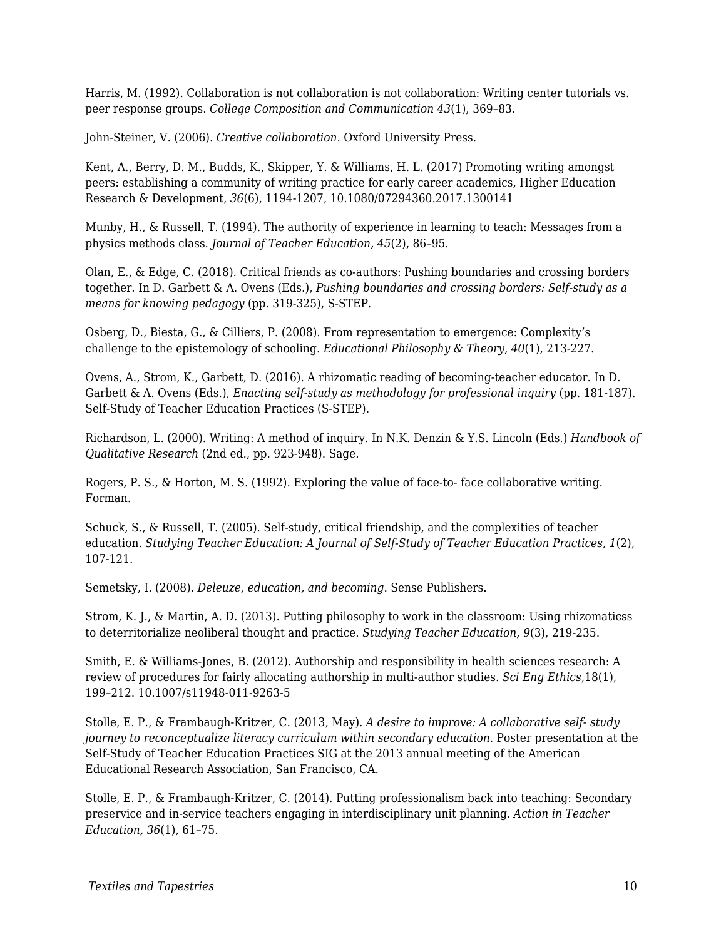Harris, M. (1992). Collaboration is not collaboration is not collaboration: Writing center tutorials vs. peer response groups. *College Composition and Communication 43*(1), 369–83.

John-Steiner, V. (2006). *Creative collaboration*. Oxford University Press.

Kent, A., Berry, D. M., Budds, K., Skipper, Y. & Williams, H. L. (2017) Promoting writing amongst peers: establishing a community of writing practice for early career academics, Higher Education Research & Development, *36*(6), 1194-1207, 10.1080/07294360.2017.1300141

Munby, H., & Russell, T. (1994). The authority of experience in learning to teach: Messages from a physics methods class. *Journal of Teacher Education, 45*(2), 86–95.

Olan, E., & Edge, C. (2018). Critical friends as co-authors: Pushing boundaries and crossing borders together*.* In D. Garbett & A. Ovens (Eds.), *Pushing boundaries and crossing borders: Self-study as a means for knowing pedagogy* (pp. 319-325), S-STEP.

Osberg, D., Biesta, G., & Cilliers, P. (2008). From representation to emergence: Complexity's challenge to the epistemology of schooling. *Educational Philosophy & Theory*, *40*(1), 213-227.

Ovens, A., Strom, K., Garbett, D. (2016). A rhizomatic reading of becoming-teacher educator. In D. Garbett & A. Ovens (Eds.), *Enacting self-study as methodology for professional inquiry* (pp. 181-187). Self-Study of Teacher Education Practices (S-STEP).

Richardson, L. (2000). Writing: A method of inquiry. In N.K. Denzin & Y.S. Lincoln (Eds.) *Handbook of Qualitative Research* (2nd ed., pp. 923-948). Sage.

Rogers, P. S., & Horton, M. S. (1992). Exploring the value of face-to- face collaborative writing. Forman.

Schuck, S., & Russell, T. (2005). Self-study, critical friendship, and the complexities of teacher education. *Studying Teacher Education: A Journal of Self-Study of Teacher Education Practices, 1*(2), 107-121.

Semetsky, I. (2008). *Deleuze, education, and becoming*. Sense Publishers.

Strom, K. J., & Martin, A. D. (2013). Putting philosophy to work in the classroom: Using rhizomaticss to deterritorialize neoliberal thought and practice. *Studying Teacher Education*, *9*(3), 219-235.

Smith, E. & Williams-Jones, B. (2012). Authorship and responsibility in health sciences research: A review of procedures for fairly allocating authorship in multi-author studies. *Sci Eng Ethics*,18(1), 199–212. 10.1007/s11948-011-9263-5

Stolle, E. P., & Frambaugh-Kritzer, C. (2013, May). *A desire to improve: A collaborative self- study journey to reconceptualize literacy curriculum within secondary education.* Poster presentation at the Self-Study of Teacher Education Practices SIG at the 2013 annual meeting of the American Educational Research Association, San Francisco, CA.

Stolle, E. P., & Frambaugh-Kritzer, C. (2014). Putting professionalism back into teaching: Secondary preservice and in-service teachers engaging in interdisciplinary unit planning. *Action in Teacher Education, 36*(1), 61–75.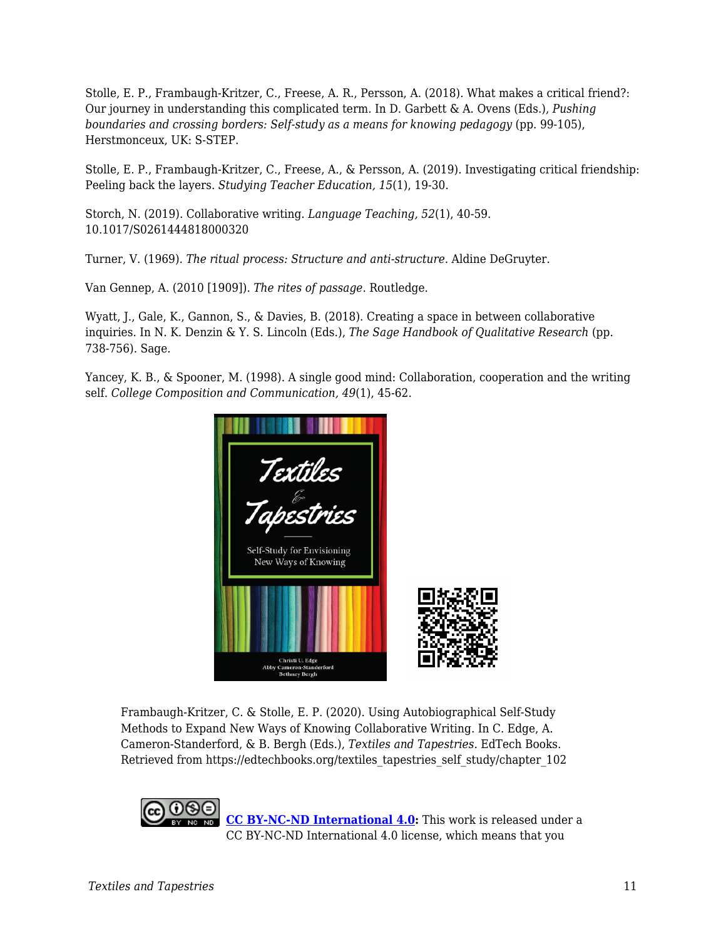Stolle, E. P., Frambaugh-Kritzer, C., Freese, A. R., Persson, A. (2018). What makes a critical friend?: Our journey in understanding this complicated term. In D. Garbett & A. Ovens (Eds.), *Pushing boundaries and crossing borders: Self-study as a means for knowing pedagogy* (pp. 99-105), Herstmonceux, UK: S-STEP.

Stolle, E. P., Frambaugh-Kritzer, C., Freese, A., & Persson, A. (2019). Investigating critical friendship: Peeling back the layers. *Studying Teacher Education, 15*(1), 19-30.

Storch, N. (2019). Collaborative writing. *Language Teaching, 52*(1), 40-59. 10.1017/S0261444818000320

Turner, V. (1969). *The ritual process: Structure and anti-structure*. Aldine DeGruyter.

Van Gennep, A. (2010 [1909]). *The rites of passage*. Routledge.

Wyatt, J., Gale, K., Gannon, S., & Davies, B. (2018). Creating a space in between collaborative inquiries. In N. K. Denzin & Y. S. Lincoln (Eds.), *The Sage Handbook of Qualitative Research* (pp. 738-756). Sage.

Yancey, K. B., & Spooner, M. (1998). A single good mind: Collaboration, cooperation and the writing self. *College Composition and Communication, 49*(1), 45-62.



Frambaugh-Kritzer, C. & Stolle, E. P. (2020). Using Autobiographical Self-Study Methods to Expand New Ways of Knowing Collaborative Writing. In C. Edge, A. Cameron-Standerford, & B. Bergh (Eds.), *Textiles and Tapestries*. EdTech Books. Retrieved from https://edtechbooks.org/textiles\_tapestries\_self\_study/chapter\_102